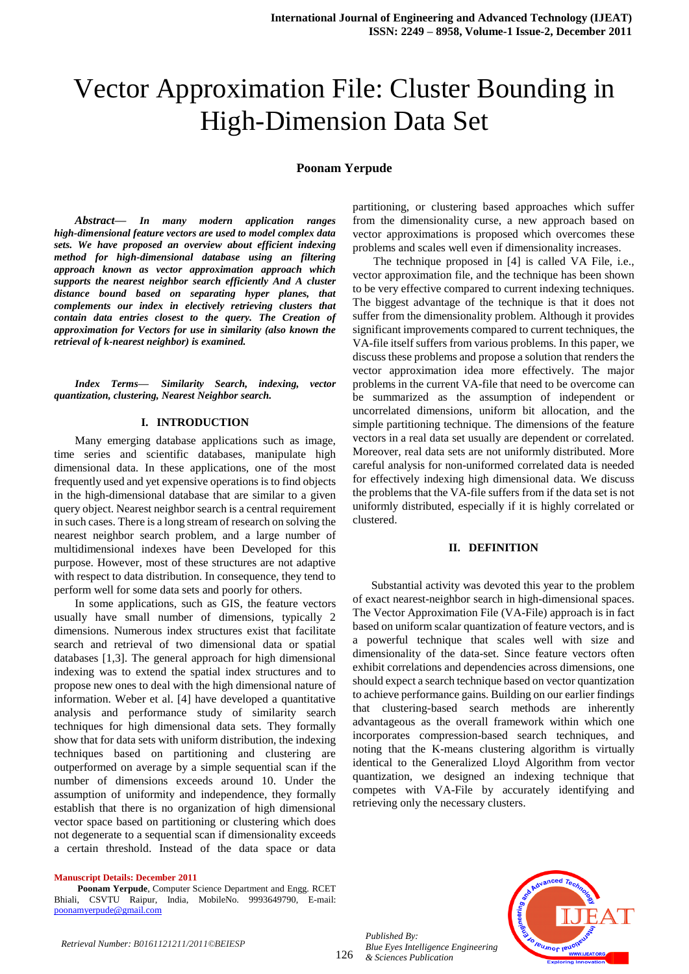# Vector Approximation File: Cluster Bounding in High-Dimension Data Set

## **Poonam Yerpude**

*Abstract***—** *In many modern application ranges high-dimensional feature vectors are used to model complex data sets. We have proposed an overview about efficient indexing method for high-dimensional database using an filtering approach known as vector approximation approach which supports the nearest neighbor search efficiently And A cluster distance bound based on separating hyper planes, that complements our index in electively retrieving clusters that contain data entries closest to the query. The Creation of approximation for Vectors for use in similarity (also known the retrieval of k-nearest neighbor) is examined.*

*Index Terms***—** *Similarity Search, indexing, vector quantization, clustering, Nearest Neighbor search.* 

#### **I. INTRODUCTION**

Many emerging database applications such as image, time series and scientific databases, manipulate high dimensional data. In these applications, one of the most frequently used and yet expensive operations is to find objects in the high-dimensional database that are similar to a given query object. Nearest neighbor search is a central requirement in such cases. There is a long stream of research on solving the nearest neighbor search problem, and a large number of multidimensional indexes have been Developed for this purpose. However, most of these structures are not adaptive with respect to data distribution. In consequence, they tend to perform well for some data sets and poorly for others.

In some applications, such as GIS, the feature vectors usually have small number of dimensions, typically 2 dimensions. Numerous index structures exist that facilitate search and retrieval of two dimensional data or spatial databases [1,3]. The general approach for high dimensional indexing was to extend the spatial index structures and to propose new ones to deal with the high dimensional nature of information. Weber et al. [4] have developed a quantitative analysis and performance study of similarity search techniques for high dimensional data sets. They formally show that for data sets with uniform distribution, the indexing techniques based on partitioning and clustering are outperformed on average by a simple sequential scan if the number of dimensions exceeds around 10. Under the assumption of uniformity and independence, they formally establish that there is no organization of high dimensional vector space based on partitioning or clustering which does not degenerate to a sequential scan if dimensionality exceeds a certain threshold. Instead of the data space or data

**Manuscript Details: December 2011**

**Poonam Yerpude**, Computer Science Department and Engg. RCET Bhiali, CSVTU Raipur, India, MobileNo. 9993649790, E-mail: [poonamyerpude@gmail.com](mailto:poonamyerpude@gmail.com)

partitioning, or clustering based approaches which suffer from the dimensionality curse, a new approach based on vector approximations is proposed which overcomes these problems and scales well even if dimensionality increases.

The technique proposed in [4] is called VA File, i.e., vector approximation file, and the technique has been shown to be very effective compared to current indexing techniques. The biggest advantage of the technique is that it does not suffer from the dimensionality problem. Although it provides significant improvements compared to current techniques, the VA-file itself suffers from various problems. In this paper, we discuss these problems and propose a solution that renders the vector approximation idea more effectively. The major problems in the current VA-file that need to be overcome can be summarized as the assumption of independent or uncorrelated dimensions, uniform bit allocation, and the simple partitioning technique. The dimensions of the feature vectors in a real data set usually are dependent or correlated. Moreover, real data sets are not uniformly distributed. More careful analysis for non-uniformed correlated data is needed for effectively indexing high dimensional data. We discuss the problems that the VA-file suffers from if the data set is not uniformly distributed, especially if it is highly correlated or clustered.

#### **II. DEFINITION**

Substantial activity was devoted this year to the problem of exact nearest-neighbor search in high-dimensional spaces. The Vector Approximation File (VA-File) approach is in fact based on uniform scalar quantization of feature vectors, and is a powerful technique that scales well with size and dimensionality of the data-set. Since feature vectors often exhibit correlations and dependencies across dimensions, one should expect a search technique based on vector quantization to achieve performance gains. Building on our earlier findings that clustering-based search methods are inherently advantageous as the overall framework within which one incorporates compression-based search techniques, and noting that the K-means clustering algorithm is virtually identical to the Generalized Lloyd Algorithm from vector quantization, we designed an indexing technique that competes with VA-File by accurately identifying and retrieving only the necessary clusters.



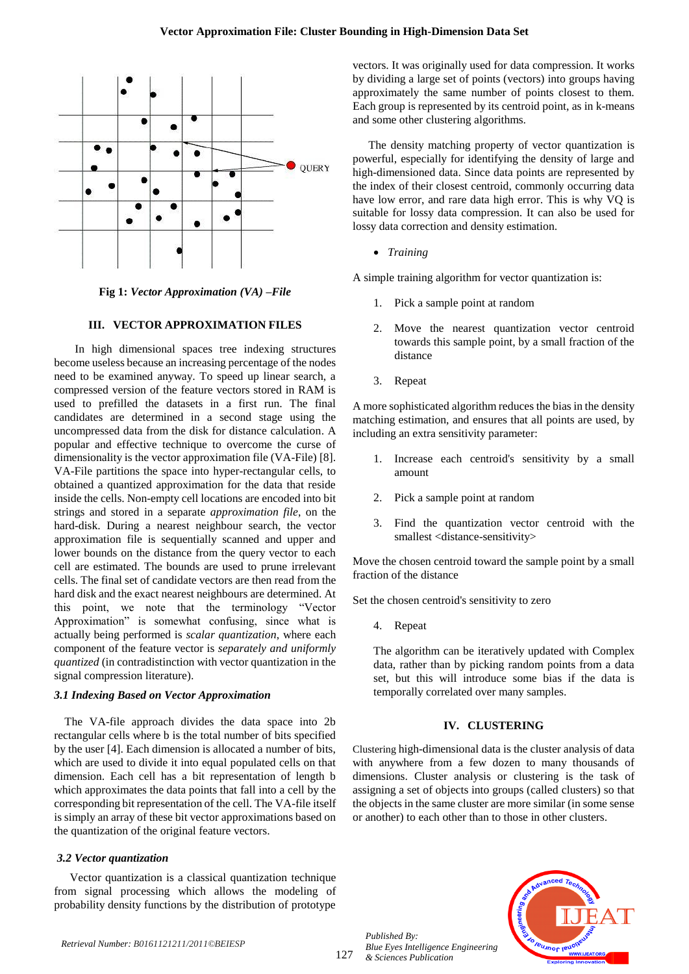

**Fig 1:** *Vector Approximation (VA) –File*

## **III. VECTOR APPROXIMATION FILES**

In high dimensional spaces tree indexing structures become useless because an increasing percentage of the nodes need to be examined anyway. To speed up linear search, a compressed version of the feature vectors stored in RAM is used to prefilled the datasets in a first run. The final candidates are determined in a second stage using the uncompressed data from the disk for distance calculation. A popular and effective technique to overcome the curse of dimensionality is the vector approximation file (VA-File) [8]. VA-File partitions the space into hyper-rectangular cells, to obtained a quantized approximation for the data that reside inside the cells. Non-empty cell locations are encoded into bit strings and stored in a separate *approximation file*, on the hard-disk. During a nearest neighbour search, the vector approximation file is sequentially scanned and upper and lower bounds on the distance from the query vector to each cell are estimated. The bounds are used to prune irrelevant cells. The final set of candidate vectors are then read from the hard disk and the exact nearest neighbours are determined. At this point, we note that the terminology "Vector Approximation" is somewhat confusing, since what is actually being performed is *scalar quantization*, where each component of the feature vector is *separately and uniformly quantized* (in contradistinction with vector quantization in the signal compression literature).

## *3.1 Indexing Based on Vector Approximation*

The VA-file approach divides the data space into 2b rectangular cells where b is the total number of bits specified by the user [4]. Each dimension is allocated a number of bits, which are used to divide it into equal populated cells on that dimension. Each cell has a bit representation of length b which approximates the data points that fall into a cell by the corresponding bit representation of the cell. The VA-file itself is simply an array of these bit vector approximations based on the quantization of the original feature vectors.

## *3.2 Vector quantization*

Vector quantization is a classical [quantization](http://en.wikipedia.org/wiki/Quantization_(signal_processing)) technique from [signal processing](http://en.wikipedia.org/wiki/Signal_processing) which allows the modeling of probability density functions by the distribution of prototype

vectors. It was originally used for [data compression.](http://en.wikipedia.org/wiki/Data_compression) It works by dividing a large set of points [\(vectors\)](http://en.wikipedia.org/wiki/Coordinate_vector) into groups having approximately the same number of points closest to them. Each group is represented by it[s centroid](http://en.wikipedia.org/wiki/Centroid) point, as in [k-means](http://en.wikipedia.org/wiki/K-means) and some other [clustering](http://en.wikipedia.org/wiki/Clustering) algorithms.

The density matching property of vector quantization is powerful, especially for identifying the density of large and high-dimensioned data. Since data points are represented by the index of their closest centroid, commonly occurring data have low error, and rare data high error. This is why VQ is suitable for [lossy data compression.](http://en.wikipedia.org/wiki/Lossy_data_compression) It can also be used for lossy data correction and [density estimation.](http://en.wikipedia.org/wiki/Density_estimation)

*Training*

A simple training algorithm for vector quantization is:

- 1. Pick a sample point at random
- 2. Move the nearest quantization vector centroid towards this sample point, by a small fraction of the distance
- 3. Repeat

A more sophisticated algorithm reduces the bias in the density matching estimation, and ensures that all points are used, by including an extra sensitivity parameter:

- 1. Increase each centroid's sensitivity by a small amount
- 2. Pick a sample point at random
- 3. Find the quantization vector centroid with the smallest <distance-sensitivity>

Move the chosen centroid toward the sample point by a small fraction of the distance

Set the chosen centroid's sensitivity to zero

4. Repeat

The algorithm can be iteratively updated with Complex data, rather than by picking random points from a data set, but this will introduce some bias if the data is temporally correlated over many samples.

## **IV. CLUSTERING**

Clustering high-dimensional data is th[e cluster analysis](http://en.wikipedia.org/wiki/Cluster_analysis) of data with anywhere from a few dozen to many thousands of [dimensions.](http://en.wikipedia.org/wiki/Dimension) Cluster analysis or clustering is the task of assigning a set of objects into groups (called clusters) so that the objects in the same cluster are more similar (in some sense or another) to each other than to those in other clusters.

*Published By: Blue Eyes Intelligence Engineering & Sciences Publication* 

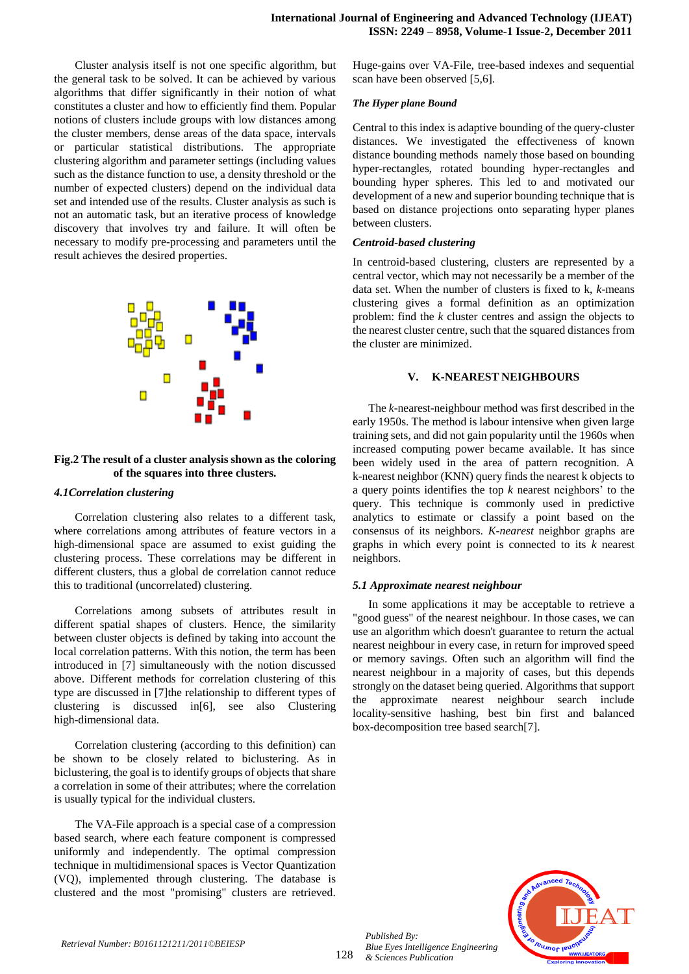Cluster analysis itself is not one specific algorithm, but the general task to be solved. It can be achieved by various algorithms that differ significantly in their notion of what constitutes a cluster and how to efficiently find them. Popular notions of clusters include groups with low distances among the cluster members, dense areas of the data space, intervals or particular statistical distributions. The appropriate clustering algorithm and parameter settings (including values such as the distance function to use, a density threshold or the number of expected clusters) depend on the individual data set and intended use of the results. Cluster analysis as such is not an automatic task, but an iterative process of knowledge discovery that involves try and failure. It will often be necessary to modify pre-processing and parameters until the result achieves the desired properties.



## **Fig.2 The result of a cluster analysis shown as the coloring of the squares into three clusters.**

#### *4.1Correlation clustering*

Correlation clustering also relates to a different task, where [correlations](http://en.wikipedia.org/wiki/Correlation) among attributes of [feature vectors](http://en.wikipedia.org/wiki/Feature_vector) in a [high-dimensional space](http://en.wikipedia.org/wiki/High-dimensional_space) are assumed to exist guiding the [clustering process.](http://en.wikipedia.org/wiki/Cluster_analysis) These correlations may be different in different clusters, thus a global [de correlation](http://en.wikipedia.org/wiki/Decorrelation) cannot reduce this to traditional (uncorrelated) clustering.

Correlations among subsets of attributes result in different spatial shapes of clusters. Hence, the similarity between cluster objects is defined by taking into account the local correlation patterns. With this notion, the term has been introduced in [7] simultaneously with the notion discussed above. Different methods for correlation clustering of this type are discussed in [7]the relationship to different types of clustering is discussed in[6], see also [Clustering](http://en.wikipedia.org/wiki/Clustering_high-dimensional_data)  [high-dimensional data.](http://en.wikipedia.org/wiki/Clustering_high-dimensional_data)

Correlation clustering (according to this definition) can be shown to be closely related to [biclustering.](http://en.wikipedia.org/wiki/Biclustering) As in biclustering, the goal is to identify groups of objects that share a correlation in some of their attributes; where the correlation is usually typical for the individual clusters.

The VA-File approach is a special case of a compression based search, where each feature component is compressed uniformly and independently. The optimal compression technique in multidimensional spaces is Vector Quantization (VQ), implemented through clustering. The database is clustered and the most "promising" clusters are retrieved. Huge-gains over VA-File, tree-based indexes and sequential scan have been observed [5,6].

#### *The Hyper plane Bound*

Central to this index is adaptive bounding of the query-cluster distances. We investigated the effectiveness of known distance bounding methods namely those based on bounding hyper-rectangles, rotated bounding hyper-rectangles and bounding hyper spheres. This led to and motivated our development of a new and superior bounding technique that is based on distance projections onto separating hyper planes between clusters.

#### *Centroid-based clustering*

In centroid-based clustering, clusters are represented by a central vector, which may not necessarily be a member of the data set. When the number of clusters is fixed to k, *k*[-means](http://en.wikipedia.org/wiki/K-means_clustering)  [clustering](http://en.wikipedia.org/wiki/K-means_clustering) gives a formal definition as an optimization problem: find the *k* cluster centres and assign the objects to the nearest cluster centre, such that the squared distances from the cluster are minimized.

## **V. K-NEAREST NEIGHBOURS**

The *k*-nearest-neighbour method was first described in the early 1950s. The method is labour intensive when given large training sets, and did not gain popularity until the 1960s when increased computing power became available. It has since been widely used in the area of pattern recognition. A k-nearest neighbor (KNN) query finds the nearest k objects to a query points identifies the top *k* nearest neighbors' to the query. This technique is commonly used in predictive analytics to estimate or classify a point based on the consensus of its neighbors. *K-nearest* neighbor graphs are graphs in which every point is connected to its *k* nearest neighbors.

#### *5.1 Approximate nearest neighbour*

In some applications it may be acceptable to retrieve a "good guess" of the nearest neighbour. In those cases, we can use an algorithm which doesn't guarantee to return the actual nearest neighbour in every case, in return for improved speed or memory savings. Often such an algorithm will find the nearest neighbour in a majority of cases, but this depends strongly on the dataset being queried. Algorithms that support the approximate nearest neighbour search include locality-sensitive hashing, best bin first and balanced box-decomposition tree based search[7].



*Published By: Blue Eyes Intelligence Engineering & Sciences Publication*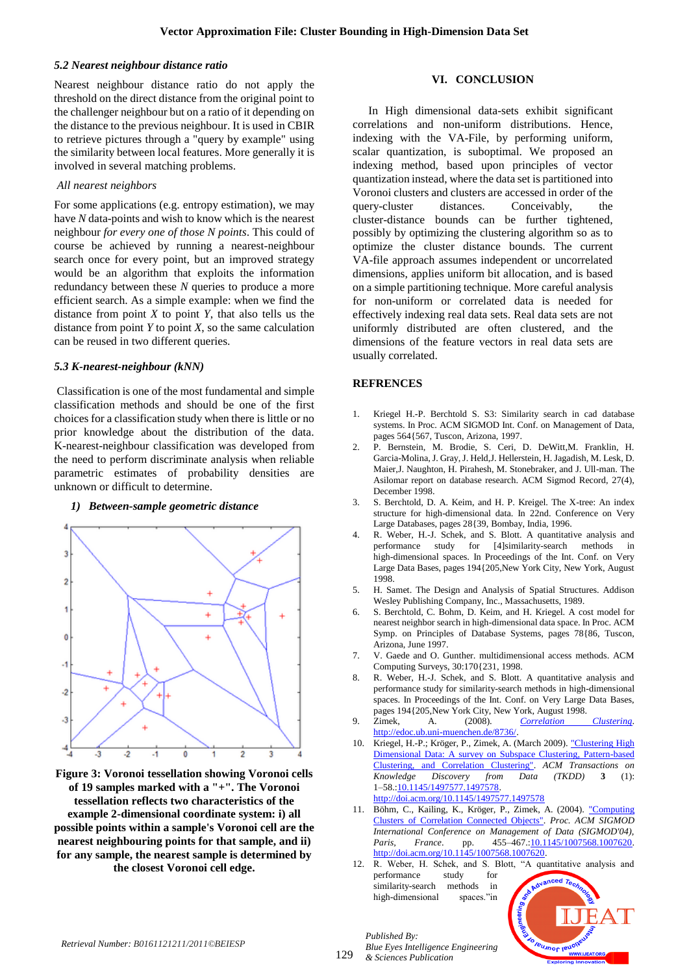## *5.2 Nearest neighbour distance ratio*

[Nearest neighbour distance ratio](http://en.wikipedia.org/w/index.php?title=Nearest_neighbor_distance_ratio&action=edit&redlink=1) do not apply the threshold on the direct distance from the original point to the challenger neighbour but on a ratio of it depending on the distance to the previous neighbour. It is used i[n CBIR](http://en.wikipedia.org/wiki/Content-based_image_retrieval) to retrieve pictures through a "query by example" using the similarity between local features. More generally it is involved in several [matching](http://en.wikipedia.org/wiki/Matching) problems.

## *All nearest neighbors*

For some applications (e.g. [entropy estimation\)](http://en.wikipedia.org/wiki/Entropy_estimation), we may have *N* data-points and wish to know which is the nearest neighbour *for every one of those N points*. This could of course be achieved by running a nearest-neighbour search once for every point, but an improved strategy would be an algorithm that exploits the information redundancy between these *N* queries to produce a more efficient search. As a simple example: when we find the distance from point *X* to point *Y*, that also tells us the distance from point *Y* to point *X*, so the same calculation can be reused in two different queries.

## *5.3 K-nearest-neighbour (kNN)*

Classification is one of the most fundamental and simple classification methods and should be one of the first choices for a classification study when there is little or no prior knowledge about the distribution of the data. K-nearest-neighbour classification was developed from the need to perform discriminate analysis when reliable parametric estimates of probability densities are unknown or difficult to determine.

## *1) Between-sample geometric distance*



**Figure 3: Voronoi tessellation showing Voronoi cells of 19 samples marked with a "+". The Voronoi tessellation reflects two characteristics of the example 2-dimensional coordinate system: i) all possible points within a sample's Voronoi cell are the nearest neighbouring points for that sample, and ii) for any sample, the nearest sample is determined by the closest Voronoi cell edge.**

## **VI. CONCLUSION**

In High dimensional data-sets exhibit significant correlations and non-uniform distributions. Hence, indexing with the VA-File, by performing uniform, scalar quantization, is suboptimal. We proposed an indexing method, based upon principles of vector quantization instead, where the data set is partitioned into Voronoi clusters and clusters are accessed in order of the query-cluster distances. Conceivably, the cluster-distance bounds can be further tightened, possibly by optimizing the clustering algorithm so as to optimize the cluster distance bounds. The current VA-file approach assumes independent or uncorrelated dimensions, applies uniform bit allocation, and is based on a simple partitioning technique. More careful analysis for non-uniform or correlated data is needed for effectively indexing real data sets. Real data sets are not uniformly distributed are often clustered, and the dimensions of the feature vectors in real data sets are usually correlated.

## **REFRENCES**

- 1. Kriegel H.-P. Berchtold S. S3: Similarity search in cad database systems. In Proc. ACM SIGMOD Int. Conf. on Management of Data, pages 564{567, Tuscon, Arizona, 1997.
- 2. P. Bernstein, M. Brodie, S. Ceri, D. DeWitt,M. Franklin, H. Garcia-Molina, J. Gray, J. Held,J. Hellerstein, H. Jagadish, M. Lesk, D. Maier,J. Naughton, H. Pirahesh, M. Stonebraker, and J. Ull-man. The Asilomar report on database research. ACM Sigmod Record, 27(4), December 1998.
- 3. S. Berchtold, D. A. Keim, and H. P. Kreigel. The X-tree: An index structure for high-dimensional data. In 22nd. Conference on Very Large Databases, pages 28{39, Bombay, India, 1996.
- 4. R. Weber, H.-J. Schek, and S. Blott. A quantitative analysis and performance study for [4]similarity-search methods in high-dimensional spaces. In Proceedings of the Int. Conf. on Very Large Data Bases, pages 194{205,New York City, New York, August 1998.
- 5. H. Samet. The Design and Analysis of Spatial Structures. Addison Wesley Publishing Company, Inc., Massachusetts, 1989.
- 6. S. Berchtold, C. Bohm, D. Keim, and H. Kriegel. A cost model for nearest neighbor search in high-dimensional data space. In Proc. ACM Symp. on Principles of Database Systems, pages 78{86, Tuscon, Arizona, June 1997.
- 7. V. Gaede and O. Gunther. multidimensional access methods. ACM Computing Surveys, 30:170{231, 1998.
- 8. R. Weber, H.-J. Schek, and S. Blott. A quantitative analysis and performance study for similarity-search methods in high-dimensional spaces. In Proceedings of the Int. Conf. on Very Large Data Bases, pages 194{205,New York City, New York, August 1998.
- 9. Zimek, A. (2008). *[Correlation Clustering](file:///C:/Downloads/Correlation%20Clustering)*. [http://edoc.ub.uni-muenchen.de/8736/.](http://edoc.ub.uni-muenchen.de/8736/)
- 10. Kriegel, H.-P.; Kröger, P., Zimek, A. (March 2009). ["Clustering High](http://doi.acm.org/10.1145/1497577.1497578)  [Dimensional Data: A survey on Subspace Clustering, Pattern-based](http://doi.acm.org/10.1145/1497577.1497578)  [Clustering, and Correlation Clustering".](http://doi.acm.org/10.1145/1497577.1497578) *ACM Transactions on Knowledge Discovery from Data (TKDD)* **3** (1): 1–58[.:10.1145/1497577.1497578.](http://dx.doi.org/10.1145%2F1497577.1497578)  <http://doi.acm.org/10.1145/1497577.1497578>
- 11. Böhm, C., Kailing, K., Kröger, P., Zimek, A. (2004). "Computing [Clusters of Correlation Connected Objects".](http://doi.acm.org/10.1145/1007568.1007620) *Proc. ACM SIGMOD International Conference on Management of Data (SIGMOD'04),*  Paris, France. pp. 455-467.:10.1145/1007568.1007620. [http://doi.acm.org/10.1145/1007568.1007620.](http://doi.acm.org/10.1145/1007568.1007620)
- 12. R. Weber, H. Schek, and S. Blott, "A quantitative analysis and performance study for similarity-search methods in high-dimensional spaces."in



*Published By:*

*& Sciences Publication* 

*Blue Eyes Intelligence Engineering*